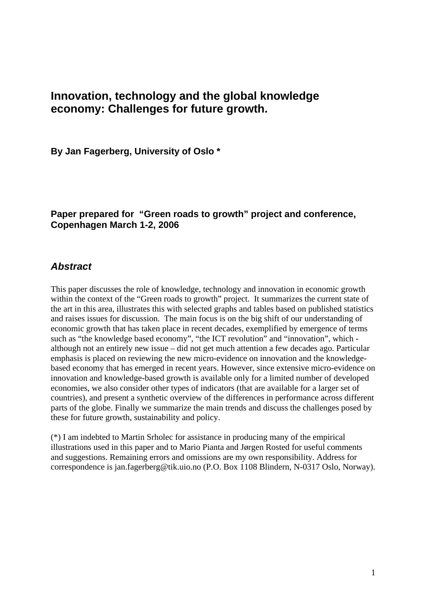# **Innovation, technology and the global knowledge economy: Challenges for future growth.**

**By Jan Fagerberg, University of Oslo \*** 

# **Paper prepared for "Green roads to growth" project and conference, Copenhagen March 1-2, 2006**

# *Abstract*

This paper discusses the role of knowledge, technology and innovation in economic growth within the context of the "Green roads to growth" project. It summarizes the current state of the art in this area, illustrates this with selected graphs and tables based on published statistics and raises issues for discussion. The main focus is on the big shift of our understanding of economic growth that has taken place in recent decades, exemplified by emergence of terms such as "the knowledge based economy", "the ICT revolution" and "innovation", which although not an entirely new issue – did not get much attention a few decades ago. Particular emphasis is placed on reviewing the new micro-evidence on innovation and the knowledgebased economy that has emerged in recent years. However, since extensive micro-evidence on innovation and knowledge-based growth is available only for a limited number of developed economies, we also consider other types of indicators (that are available for a larger set of countries), and present a synthetic overview of the differences in performance across different parts of the globe. Finally we summarize the main trends and discuss the challenges posed by these for future growth, sustainability and policy.

(\*) I am indebted to Martin Srholec for assistance in producing many of the empirical illustrations used in this paper and to Mario Pianta and Jørgen Rosted for useful comments and suggestions. Remaining errors and omissions are my own responsibility. Address for correspondence is jan.fagerberg@tik.uio.no (P.O. Box 1108 Blindern, N-0317 Oslo, Norway).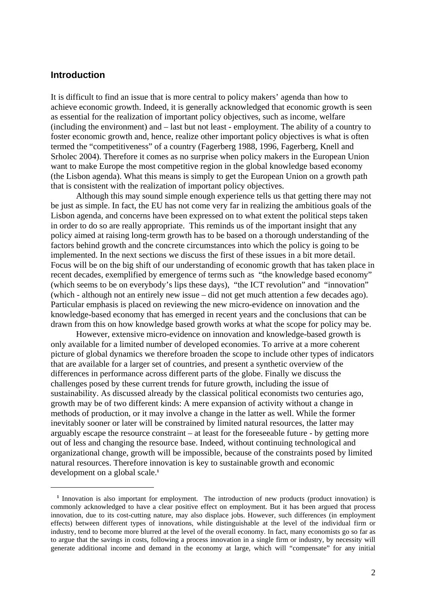### **Introduction**

 $\overline{a}$ 

It is difficult to find an issue that is more central to policy makers' agenda than how to achieve economic growth. Indeed, it is generally acknowledged that economic growth is seen as essential for the realization of important policy objectives, such as income, welfare (including the environment) and – last but not least - employment. The ability of a country to foster economic growth and, hence, realize other important policy objectives is what is often termed the "competitiveness" of a country (Fagerberg 1988, 1996, Fagerberg, Knell and Srholec 2004). Therefore it comes as no surprise when policy makers in the European Union want to make Europe the most competitive region in the global knowledge based economy (the Lisbon agenda). What this means is simply to get the European Union on a growth path that is consistent with the realization of important policy objectives.

Although this may sound simple enough experience tells us that getting there may not be just as simple. In fact, the EU has not come very far in realizing the ambitious goals of the Lisbon agenda, and concerns have been expressed on to what extent the political steps taken in order to do so are really appropriate. This reminds us of the important insight that any policy aimed at raising long-term growth has to be based on a thorough understanding of the factors behind growth and the concrete circumstances into which the policy is going to be implemented. In the next sections we discuss the first of these issues in a bit more detail. Focus will be on the big shift of our understanding of economic growth that has taken place in recent decades, exemplified by emergence of terms such as "the knowledge based economy" (which seems to be on everybody's lips these days), "the ICT revolution" and "innovation" (which - although not an entirely new issue – did not get much attention a few decades ago). Particular emphasis is placed on reviewing the new micro-evidence on innovation and the knowledge-based economy that has emerged in recent years and the conclusions that can be drawn from this on how knowledge based growth works at what the scope for policy may be.

However, extensive micro-evidence on innovation and knowledge-based growth is only available for a limited number of developed economies. To arrive at a more coherent picture of global dynamics we therefore broaden the scope to include other types of indicators that are available for a larger set of countries, and present a synthetic overview of the differences in performance across different parts of the globe. Finally we discuss the challenges posed by these current trends for future growth, including the issue of sustainability. As discussed already by the classical political economists two centuries ago, growth may be of two different kinds: A mere expansion of activity without a change in methods of production, or it may involve a change in the latter as well. While the former inevitably sooner or later will be constrained by limited natural resources, the latter may arguably escape the resource constraint – at least for the foreseeable future - by getting more out of less and changing the resource base. Indeed, without continuing technological and organizational change, growth will be impossible, because of the constraints posed by limited natural resources. Therefore innovation is key to sustainable growth and economic development on a global scale.**<sup>1</sup>**

<sup>&</sup>lt;sup>1</sup> Innovation is also important for employment. The introduction of new products (product innovation) is commonly acknowledged to have a clear positive effect on employment. But it has been argued that process innovation, due to its cost-cutting nature, may also displace jobs. However, such differences (in employment effects) between different types of innovations, while distinguishable at the level of the individual firm or industry, tend to become more blurred at the level of the overall economy. In fact, many economists go so far as to argue that the savings in costs, following a process innovation in a single firm or industry, by necessity will generate additional income and demand in the economy at large, which will "compensate" for any initial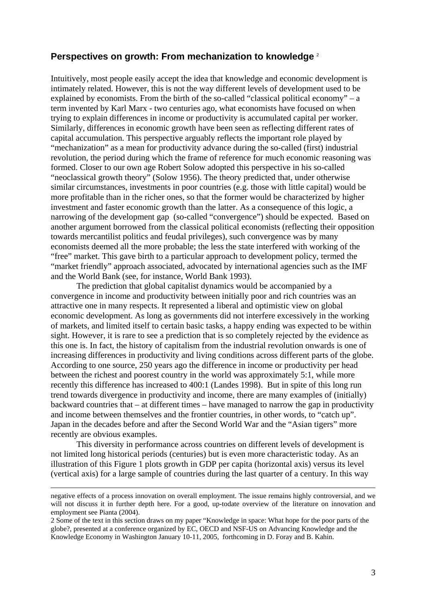### **Perspectives on growth: From mechanization to knowledge** <sup>2</sup>

Intuitively, most people easily accept the idea that knowledge and economic development is intimately related. However, this is not the way different levels of development used to be explained by economists. From the birth of the so-called "classical political economy" – a term invented by Karl Marx - two centuries ago, what economists have focused on when trying to explain differences in income or productivity is accumulated capital per worker. Similarly, differences in economic growth have been seen as reflecting different rates of capital accumulation. This perspective arguably reflects the important role played by "mechanization" as a mean for productivity advance during the so-called (first) industrial revolution, the period during which the frame of reference for much economic reasoning was formed. Closer to our own age Robert Solow adopted this perspective in his so-called "neoclassical growth theory" (Solow 1956). The theory predicted that, under otherwise similar circumstances, investments in poor countries (e.g. those with little capital) would be more profitable than in the richer ones, so that the former would be characterized by higher investment and faster economic growth than the latter. As a consequence of this logic, a narrowing of the development gap (so-called "convergence") should be expected. Based on another argument borrowed from the classical political economists (reflecting their opposition towards mercantilist politics and feudal privileges), such convergence was by many economists deemed all the more probable; the less the state interfered with working of the "free" market. This gave birth to a particular approach to development policy, termed the "market friendly" approach associated, advocated by international agencies such as the IMF and the World Bank (see, for instance, World Bank 1993).

The prediction that global capitalist dynamics would be accompanied by a convergence in income and productivity between initially poor and rich countries was an attractive one in many respects. It represented a liberal and optimistic view on global economic development. As long as governments did not interfere excessively in the working of markets, and limited itself to certain basic tasks, a happy ending was expected to be within sight. However, it is rare to see a prediction that is so completely rejected by the evidence as this one is. In fact, the history of capitalism from the industrial revolution onwards is one of increasing differences in productivity and living conditions across different parts of the globe. According to one source, 250 years ago the difference in income or productivity per head between the richest and poorest country in the world was approximately 5:1, while more recently this difference has increased to 400:1 (Landes 1998). But in spite of this long run trend towards divergence in productivity and income, there are many examples of (initially) backward countries that – at different times – have managed to narrow the gap in productivity and income between themselves and the frontier countries, in other words, to "catch up". Japan in the decades before and after the Second World War and the "Asian tigers" more recently are obvious examples.

This diversity in performance across countries on different levels of development is not limited long historical periods (centuries) but is even more characteristic today. As an illustration of this Figure 1 plots growth in GDP per capita (horizontal axis) versus its level (vertical axis) for a large sample of countries during the last quarter of a century. In this way

negative effects of a process innovation on overall employment. The issue remains highly controversial, and we will not discuss it in further depth here. For a good, up-todate overview of the literature on innovation and employment see Pianta (2004).

<sup>2</sup> Some of the text in this section draws on my paper "Knowledge in space: What hope for the poor parts of the globe?, presented at a conference organized by EC, OECD and NSF-US on Advancing Knowledge and the Knowledge Economy in Washington January 10-11, 2005, forthcoming in D. Foray and B. Kahin.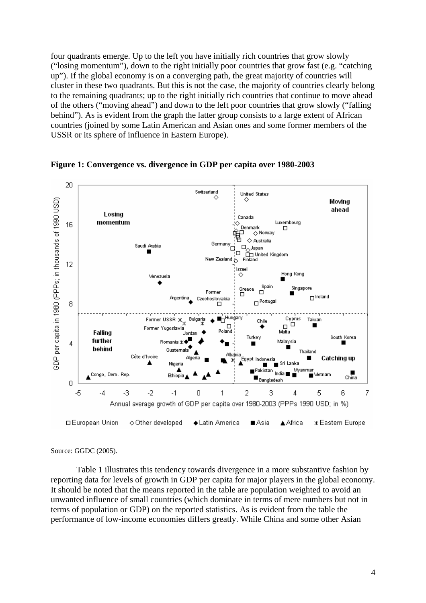four quadrants emerge. Up to the left you have initially rich countries that grow slowly ("losing momentum"), down to the right initially poor countries that grow fast (e.g. "catching up"). If the global economy is on a converging path, the great majority of countries will cluster in these two quadrants. But this is not the case, the majority of countries clearly belong to the remaining quadrants; up to the right initially rich countries that continue to move ahead of the others ("moving ahead") and down to the left poor countries that grow slowly ("falling behind"). As is evident from the graph the latter group consists to a large extent of African countries (joined by some Latin American and Asian ones and some former members of the USSR or its sphere of influence in Eastern Europe).



**Figure 1: Convergence vs. divergence in GDP per capita over 1980-2003** 

Source: GGDC (2005).

Table 1 illustrates this tendency towards divergence in a more substantive fashion by reporting data for levels of growth in GDP per capita for major players in the global economy. It should be noted that the means reported in the table are population weighted to avoid an unwanted influence of small countries (which dominate in terms of mere numbers but not in terms of population or GDP) on the reported statistics. As is evident from the table the performance of low-income economies differs greatly. While China and some other Asian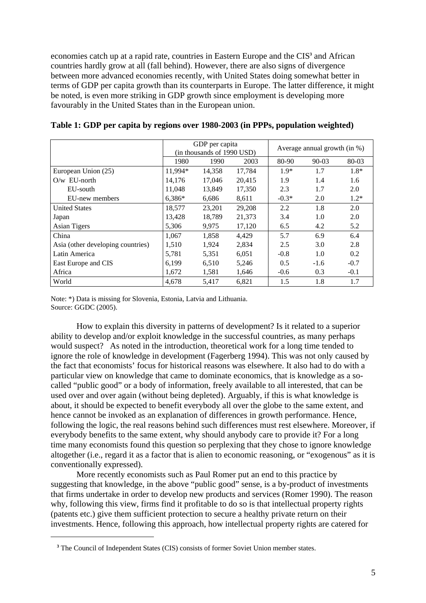economies catch up at a rapid rate, countries in Eastern Europe and the CIS<sup>3</sup> and African countries hardly grow at all (fall behind). However, there are also signs of divergence between more advanced economies recently, with United States doing somewhat better in terms of GDP per capita growth than its counterparts in Europe. The latter difference, it might be noted, is even more striking in GDP growth since employment is developing more favourably in the United States than in the European union.

|                                   | GDP per capita<br>(in thousands of 1990 USD) |        |        | Average annual growth (in %) |         |        |
|-----------------------------------|----------------------------------------------|--------|--------|------------------------------|---------|--------|
|                                   | 1980                                         | 1990   | 2003   | 80-90                        | $90-03$ | 80-03  |
| European Union (25)               | 11,994*                                      | 14,358 | 17,784 | $1.9*$                       | 1.7     | $1.8*$ |
| $O/w$ EU-north                    | 14,176                                       | 17,046 | 20,415 | 1.9                          | 1.4     | 1.6    |
| EU-south                          | 11,048                                       | 13,849 | 17,350 | 2.3                          | 1.7     | 2.0    |
| EU-new members                    | $6.386*$                                     | 6.686  | 8,611  | $-0.3*$                      | 2.0     | $1.2*$ |
| <b>United States</b>              | 18,577                                       | 23,201 | 29,208 | 2.2                          | 1.8     | 2.0    |
| Japan                             | 13,428                                       | 18,789 | 21,373 | 3.4                          | 1.0     | 2.0    |
| Asian Tigers                      | 5,306                                        | 9,975  | 17,120 | 6.5                          | 4.2     | 5.2    |
| China                             | 1,067                                        | 1,858  | 4,429  | 5.7                          | 6.9     | 6.4    |
| Asia (other developing countries) | 1,510                                        | 1,924  | 2,834  | 2.5                          | 3.0     | 2.8    |
| Latin America                     | 5,781                                        | 5,351  | 6,051  | $-0.8$                       | 1.0     | 0.2    |
| East Europe and CIS               | 6,199                                        | 6,510  | 5,246  | 0.5                          | $-1.6$  | $-0.7$ |
| Africa                            | 1,672                                        | 1,581  | 1,646  | $-0.6$                       | 0.3     | $-0.1$ |
| World                             | 4,678                                        | 5,417  | 6,821  | 1.5                          | 1.8     | 1.7    |

**Table 1: GDP per capita by regions over 1980-2003 (in PPPs, population weighted)** 

Note: \*) Data is missing for Slovenia, Estonia, Latvia and Lithuania. Source: GGDC (2005).

How to explain this diversity in patterns of development? Is it related to a superior ability to develop and/or exploit knowledge in the successful countries, as many perhaps would suspect? As noted in the introduction, theoretical work for a long time tended to ignore the role of knowledge in development (Fagerberg 1994). This was not only caused by the fact that economists' focus for historical reasons was elsewhere. It also had to do with a particular view on knowledge that came to dominate economics, that is knowledge as a socalled "public good" or a body of information, freely available to all interested, that can be used over and over again (without being depleted). Arguably, if this is what knowledge is about, it should be expected to benefit everybody all over the globe to the same extent, and hence cannot be invoked as an explanation of differences in growth performance. Hence, following the logic, the real reasons behind such differences must rest elsewhere. Moreover, if everybody benefits to the same extent, why should anybody care to provide it? For a long time many economists found this question so perplexing that they chose to ignore knowledge altogether (i.e., regard it as a factor that is alien to economic reasoning, or "exogenous" as it is conventionally expressed).

More recently economists such as Paul Romer put an end to this practice by suggesting that knowledge, in the above "public good" sense, is a by-product of investments that firms undertake in order to develop new products and services (Romer 1990). The reason why, following this view, firms find it profitable to do so is that intellectual property rights (patents etc.) give them sufficient protection to secure a healthy private return on their investments. Hence, following this approach, how intellectual property rights are catered for

 $\overline{a}$ 

<sup>&</sup>lt;sup>3</sup> The Council of Independent States (CIS) consists of former Soviet Union member states.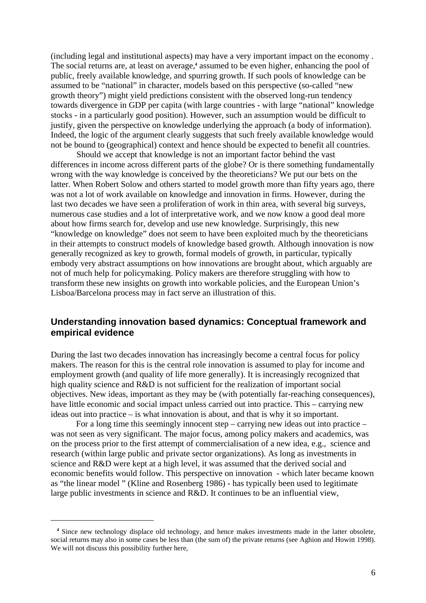(including legal and institutional aspects) may have a very important impact on the economy . The social returns are, at least on average,<sup>4</sup> assumed to be even higher, enhancing the pool of public, freely available knowledge, and spurring growth. If such pools of knowledge can be assumed to be "national" in character, models based on this perspective (so-called "new growth theory") might yield predictions consistent with the observed long-run tendency towards divergence in GDP per capita (with large countries - with large "national" knowledge stocks - in a particularly good position). However, such an assumption would be difficult to justify, given the perspective on knowledge underlying the approach (a body of information). Indeed, the logic of the argument clearly suggests that such freely available knowledge would not be bound to (geographical) context and hence should be expected to benefit all countries.

Should we accept that knowledge is not an important factor behind the vast differences in income across different parts of the globe? Or is there something fundamentally wrong with the way knowledge is conceived by the theoreticians? We put our bets on the latter. When Robert Solow and others started to model growth more than fifty years ago, there was not a lot of work available on knowledge and innovation in firms. However, during the last two decades we have seen a proliferation of work in thin area, with several big surveys, numerous case studies and a lot of interpretative work, and we now know a good deal more about how firms search for, develop and use new knowledge. Surprisingly, this new "knowledge on knowledge" does not seem to have been exploited much by the theoreticians in their attempts to construct models of knowledge based growth. Although innovation is now generally recognized as key to growth, formal models of growth, in particular, typically embody very abstract assumptions on how innovations are brought about, which arguably are not of much help for policymaking. Policy makers are therefore struggling with how to transform these new insights on growth into workable policies, and the European Union's Lisboa/Barcelona process may in fact serve an illustration of this.

### **Understanding innovation based dynamics: Conceptual framework and empirical evidence**

During the last two decades innovation has increasingly become a central focus for policy makers. The reason for this is the central role innovation is assumed to play for income and employment growth (and quality of life more generally). It is increasingly recognized that high quality science and R&D is not sufficient for the realization of important social objectives. New ideas, important as they may be (with potentially far-reaching consequences), have little economic and social impact unless carried out into practice. This – carrying new ideas out into practice – is what innovation is about, and that is why it so important.

For a long time this seemingly innocent step – carrying new ideas out into practice – was not seen as very significant. The major focus, among policy makers and academics, was on the process prior to the first attempt of commercialisation of a new idea, e.g., science and research (within large public and private sector organizations). As long as investments in science and R&D were kept at a high level, it was assumed that the derived social and economic benefits would follow. This perspective on innovation - which later became known as "the linear model " (Kline and Rosenberg 1986) - has typically been used to legitimate large public investments in science and R&D. It continues to be an influential view,

 $\overline{a}$ 

<sup>&</sup>lt;sup>4</sup> Since new technology displace old technology, and hence makes investments made in the latter obsolete, social returns may also in some cases be less than (the sum of) the private returns (see Aghion and Howitt 1998). We will not discuss this possibility further here,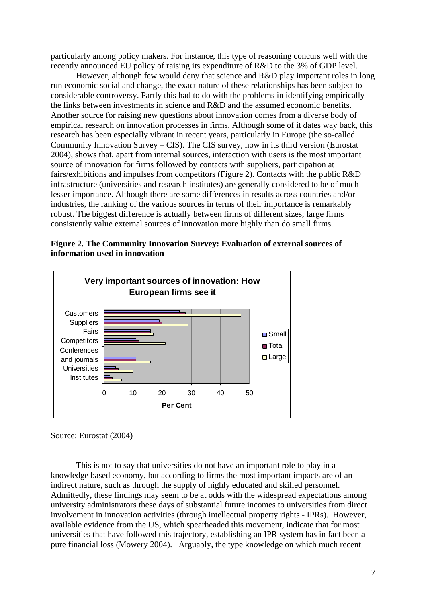particularly among policy makers. For instance, this type of reasoning concurs well with the recently announced EU policy of raising its expenditure of R&D to the 3% of GDP level.

However, although few would deny that science and R&D play important roles in long run economic social and change, the exact nature of these relationships has been subject to considerable controversy. Partly this had to do with the problems in identifying empirically the links between investments in science and R&D and the assumed economic benefits. Another source for raising new questions about innovation comes from a diverse body of empirical research on innovation processes in firms. Although some of it dates way back, this research has been especially vibrant in recent years, particularly in Europe (the so-called Community Innovation Survey – CIS). The CIS survey, now in its third version (Eurostat 2004), shows that, apart from internal sources, interaction with users is the most important source of innovation for firms followed by contacts with suppliers, participation at fairs/exhibitions and impulses from competitors (Figure 2). Contacts with the public R&D infrastructure (universities and research institutes) are generally considered to be of much lesser importance. Although there are some differences in results across countries and/or industries, the ranking of the various sources in terms of their importance is remarkably robust. The biggest difference is actually between firms of different sizes; large firms consistently value external sources of innovation more highly than do small firms.





Source: Eurostat (2004)

This is not to say that universities do not have an important role to play in a knowledge based economy, but according to firms the most important impacts are of an indirect nature, such as through the supply of highly educated and skilled personnel. Admittedly, these findings may seem to be at odds with the widespread expectations among university administrators these days of substantial future incomes to universities from direct involvement in innovation activities (through intellectual property rights - IPRs). However, available evidence from the US, which spearheaded this movement, indicate that for most universities that have followed this trajectory, establishing an IPR system has in fact been a pure financial loss (Mowery 2004). Arguably, the type knowledge on which much recent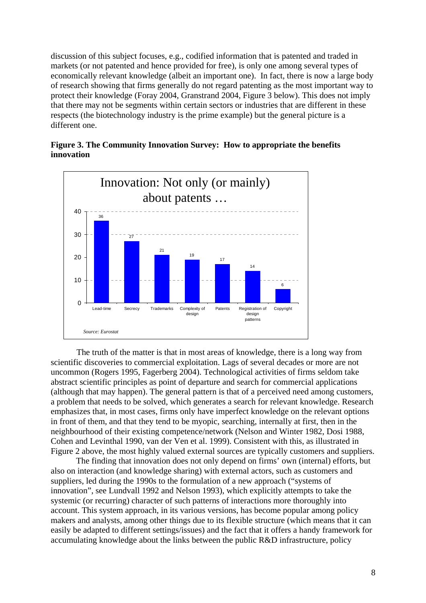discussion of this subject focuses, e.g., codified information that is patented and traded in markets (or not patented and hence provided for free), is only one among several types of economically relevant knowledge (albeit an important one). In fact, there is now a large body of research showing that firms generally do not regard patenting as the most important way to protect their knowledge (Foray 2004, Granstrand 2004, Figure 3 below). This does not imply that there may not be segments within certain sectors or industries that are different in these respects (the biotechnology industry is the prime example) but the general picture is a different one.





The truth of the matter is that in most areas of knowledge, there is a long way from scientific discoveries to commercial exploitation. Lags of several decades or more are not uncommon (Rogers 1995, Fagerberg 2004). Technological activities of firms seldom take abstract scientific principles as point of departure and search for commercial applications (although that may happen). The general pattern is that of a perceived need among customers, a problem that needs to be solved, which generates a search for relevant knowledge. Research emphasizes that, in most cases, firms only have imperfect knowledge on the relevant options in front of them, and that they tend to be myopic, searching, internally at first, then in the neighbourhood of their existing competence/network (Nelson and Winter 1982, Dosi 1988, Cohen and Levinthal 1990, van der Ven et al. 1999). Consistent with this, as illustrated in Figure 2 above, the most highly valued external sources are typically customers and suppliers.

The finding that innovation does not only depend on firms' own (internal) efforts, but also on interaction (and knowledge sharing) with external actors, such as customers and suppliers, led during the 1990s to the formulation of a new approach ("systems of innovation", see Lundvall 1992 and Nelson 1993), which explicitly attempts to take the systemic (or recurring) character of such patterns of interactions more thoroughly into account. This system approach, in its various versions, has become popular among policy makers and analysts, among other things due to its flexible structure (which means that it can easily be adapted to different settings/issues) and the fact that it offers a handy framework for accumulating knowledge about the links between the public R&D infrastructure, policy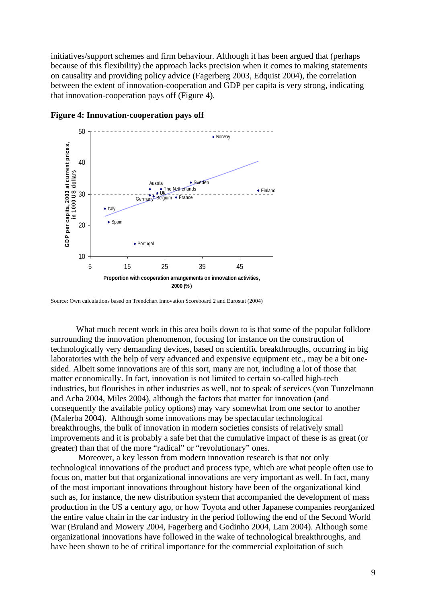initiatives/support schemes and firm behaviour. Although it has been argued that (perhaps because of this flexibility) the approach lacks precision when it comes to making statements on causality and providing policy advice (Fagerberg 2003, Edquist 2004), the correlation between the extent of innovation-cooperation and GDP per capita is very strong, indicating that innovation-cooperation pays off (Figure 4).



**Figure 4: Innovation-cooperation pays off** 

What much recent work in this area boils down to is that some of the popular folklore surrounding the innovation phenomenon, focusing for instance on the construction of technologically very demanding devices, based on scientific breakthroughs, occurring in big laboratories with the help of very advanced and expensive equipment etc., may be a bit onesided. Albeit some innovations are of this sort, many are not, including a lot of those that matter economically. In fact, innovation is not limited to certain so-called high-tech industries, but flourishes in other industries as well, not to speak of services (von Tunzelmann and Acha 2004, Miles 2004), although the factors that matter for innovation (and consequently the available policy options) may vary somewhat from one sector to another (Malerba 2004). Although some innovations may be spectacular technological breakthroughs, the bulk of innovation in modern societies consists of relatively small improvements and it is probably a safe bet that the cumulative impact of these is as great (or greater) than that of the more "radical" or "revolutionary" ones.

 Moreover, a key lesson from modern innovation research is that not only technological innovations of the product and process type, which are what people often use to focus on, matter but that organizational innovations are very important as well. In fact, many of the most important innovations throughout history have been of the organizational kind such as, for instance, the new distribution system that accompanied the development of mass production in the US a century ago, or how Toyota and other Japanese companies reorganized the entire value chain in the car industry in the period following the end of the Second World War (Bruland and Mowery 2004, Fagerberg and Godinho 2004, Lam 2004). Although some organizational innovations have followed in the wake of technological breakthroughs, and have been shown to be of critical importance for the commercial exploitation of such

Source: Own calculations based on Trendchart Innovation Scoreboard 2 and Eurostat (2004)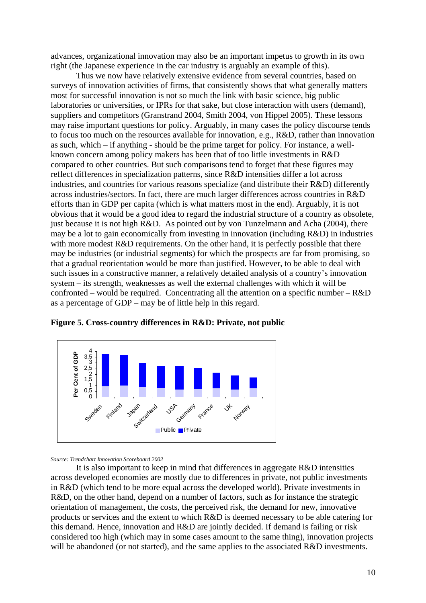advances, organizational innovation may also be an important impetus to growth in its own right (the Japanese experience in the car industry is arguably an example of this).

Thus we now have relatively extensive evidence from several countries, based on surveys of innovation activities of firms, that consistently shows that what generally matters most for successful innovation is not so much the link with basic science, big public laboratories or universities, or IPRs for that sake, but close interaction with users (demand), suppliers and competitors (Granstrand 2004, Smith 2004, von Hippel 2005). These lessons may raise important questions for policy. Arguably, in many cases the policy discourse tends to focus too much on the resources available for innovation, e.g., R&D, rather than innovation as such, which – if anything - should be the prime target for policy. For instance, a wellknown concern among policy makers has been that of too little investments in R&D compared to other countries. But such comparisons tend to forget that these figures may reflect differences in specialization patterns, since R&D intensities differ a lot across industries, and countries for various reasons specialize (and distribute their R&D) differently across industries/sectors. In fact, there are much larger differences across countries in R&D efforts than in GDP per capita (which is what matters most in the end). Arguably, it is not obvious that it would be a good idea to regard the industrial structure of a country as obsolete, just because it is not high R&D. As pointed out by von Tunzelmann and Acha (2004), there may be a lot to gain economically from investing in innovation (including R&D) in industries with more modest R&D requirements. On the other hand, it is perfectly possible that there may be industries (or industrial segments) for which the prospects are far from promising, so that a gradual reorientation would be more than justified. However, to be able to deal with such issues in a constructive manner, a relatively detailed analysis of a country's innovation system – its strength, weaknesses as well the external challenges with which it will be confronted – would be required. Concentrating all the attention on a specific number – R&D as a percentage of GDP – may be of little help in this regard.





*Source: Trendchart Innovation Scoreboard 2002*

It is also important to keep in mind that differences in aggregate R&D intensities across developed economies are mostly due to differences in private, not public investments in R&D (which tend to be more equal across the developed world). Private investments in R&D, on the other hand, depend on a number of factors, such as for instance the strategic orientation of management, the costs, the perceived risk, the demand for new, innovative products or services and the extent to which R&D is deemed necessary to be able catering for this demand. Hence, innovation and R&D are jointly decided. If demand is failing or risk considered too high (which may in some cases amount to the same thing), innovation projects will be abandoned (or not started), and the same applies to the associated R&D investments.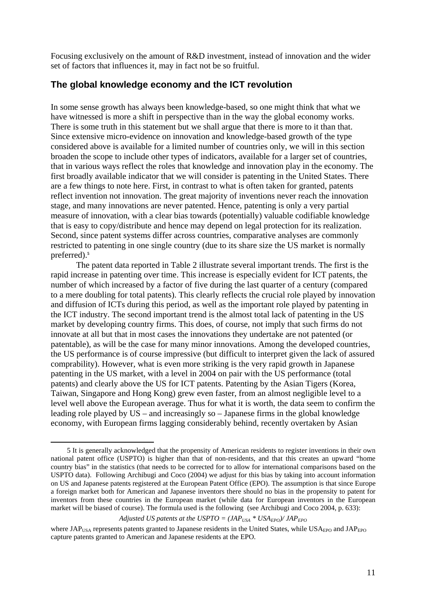Focusing exclusively on the amount of R&D investment, instead of innovation and the wider set of factors that influences it, may in fact not be so fruitful.

### **The global knowledge economy and the ICT revolution**

In some sense growth has always been knowledge-based, so one might think that what we have witnessed is more a shift in perspective than in the way the global economy works. There is some truth in this statement but we shall argue that there is more to it than that. Since extensive micro-evidence on innovation and knowledge-based growth of the type considered above is available for a limited number of countries only, we will in this section broaden the scope to include other types of indicators, available for a larger set of countries, that in various ways reflect the roles that knowledge and innovation play in the economy. The first broadly available indicator that we will consider is patenting in the United States. There are a few things to note here. First, in contrast to what is often taken for granted, patents reflect invention not innovation. The great majority of inventions never reach the innovation stage, and many innovations are never patented. Hence, patenting is only a very partial measure of innovation, with a clear bias towards (potentially) valuable codifiable knowledge that is easy to copy/distribute and hence may depend on legal protection for its realization. Second, since patent systems differ across countries, comparative analyses are commonly restricted to patenting in one single country (due to its share size the US market is normally preferred).**<sup>5</sup>**

 The patent data reported in Table 2 illustrate several important trends. The first is the rapid increase in patenting over time. This increase is especially evident for ICT patents, the number of which increased by a factor of five during the last quarter of a century (compared to a mere doubling for total patents). This clearly reflects the crucial role played by innovation and diffusion of ICTs during this period, as well as the important role played by patenting in the ICT industry. The second important trend is the almost total lack of patenting in the US market by developing country firms. This does, of course, not imply that such firms do not innovate at all but that in most cases the innovations they undertake are not patented (or patentable), as will be the case for many minor innovations. Among the developed countries, the US performance is of course impressive (but difficult to interpret given the lack of assured comprability). However, what is even more striking is the very rapid growth in Japanese patenting in the US market, with a level in 2004 on pair with the US performance (total patents) and clearly above the US for ICT patents. Patenting by the Asian Tigers (Korea, Taiwan, Singapore and Hong Kong) grew even faster, from an almost negligible level to a level well above the European average. Thus for what it is worth, the data seem to confirm the leading role played by US – and increasingly so – Japanese firms in the global knowledge economy, with European firms lagging considerably behind, recently overtaken by Asian

#### *Adjusted US patents at the USPTO =*  $(JAP_{USA} * USA_{EPO})/JAP_{EPO}$

 <sup>5</sup> It is generally acknowledged that the propensity of American residents to register inventions in their own national patent office (USPTO) is higher than that of non-residents, and that this creates an upward "home country bias" in the statistics (that needs to be corrected for to allow for international comparisons based on the USPTO data). Following Archibugi and Coco (2004) we adjust for this bias by taking into account information on US and Japanese patents registered at the European Patent Office (EPO). The assumption is that since Europe a foreign market both for American and Japanese inventors there should no bias in the propensity to patent for inventors from these countries in the European market (while data for European inventors in the European market will be biased of course). The formula used is the following (see Archibugi and Coco 2004, p. 633):

where  $JAP<sub>USA</sub>$  represents patents granted to Japanese residents in the United States, while  $USA<sub>EPO</sub>$  and  $JAP<sub>EPO</sub>$ capture patents granted to American and Japanese residents at the EPO.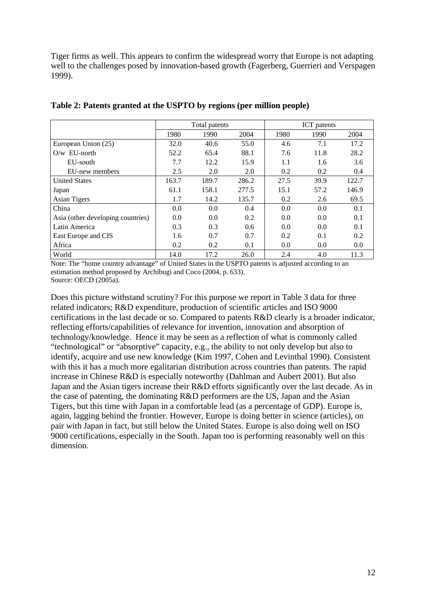Tiger firms as well. This appears to confirm the widespread worry that Europe is not adapting well to the challenges posed by innovation-based growth (Fagerberg, Guerrieri and Verspagen 1999).

|                                   | Total patents |       |       | <b>ICT</b> patents |      |       |
|-----------------------------------|---------------|-------|-------|--------------------|------|-------|
|                                   | 1980          | 1990  | 2004  | 1980               | 1990 | 2004  |
| European Union (25)               | 32.0          | 40.6  | 55.0  | 4.6                | 7.1  | 17.2  |
| $Q/w$ EU-north                    | 52.2          | 65.4  | 88.1  | 7.6                | 11.8 | 28.2  |
| EU-south                          | 7.7           | 12.2  | 15.9  | 1.1                | 1.6  | 3.6   |
| EU-new members                    | 2.5           | 2.0   | 2.0   | 0.2                | 0.2  | 0.4   |
| <b>United States</b>              | 163.7         | 189.7 | 286.2 | 27.5               | 39.9 | 122.7 |
| Japan                             | 61.1          | 158.1 | 277.5 | 15.1               | 57.2 | 146.9 |
| Asian Tigers                      | 1.7           | 14.2  | 135.7 | 0.2                | 2.6  | 69.5  |
| China                             | 0.0           | 0.0   | 0.4   | 0.0                | 0.0  | 0.1   |
| Asia (other developing countries) | 0.0           | 0.0   | 0.2   | 0.0                | 0.0  | 0.1   |
| Latin America                     | 0.3           | 0.3   | 0.6   | 0.0                | 0.0  | 0.1   |
| East Europe and CIS               | 1.6           | 0.7   | 0.7   | 0.2                | 0.1  | 0.2   |
| Africa                            | 0.2           | 0.2   | 0.1   | 0.0                | 0.0  | 0.0   |
| World                             | 14.0          | 17.2  | 26.0  | 2.4                | 4.0  | 11.3  |

### **Table 2: Patents granted at the USPTO by regions (per million people)**

Note: The "home country advantage" of United States in the USPTO patents is adjusted according to an estimation method proposed by Archibugi and Coco (2004, p. 633). Source: OECD (2005a).

Does this picture withstand scrutiny? For this purpose we report in Table 3 data for three related indicators; R&D expenditure, production of scientific articles and ISO 9000 certifications in the last decade or so. Compared to patents R&D clearly is a broader indicator, reflecting efforts/capabilities of relevance for invention, innovation and absorption of technology/knowledge. Hence it may be seen as a reflection of what is commonly called "technological" or "absorptive" capacity, e.g., the ability to not only develop but also to identify, acquire and use new knowledge (Kim 1997, Cohen and Levinthal 1990). Consistent with this it has a much more egalitarian distribution across countries than patents. The rapid increase in Chinese R&D is especially noteworthy (Dahlman and Aubert 2001). But also Japan and the Asian tigers increase their R&D efforts significantly over the last decade. As in the case of patenting, the dominating R&D performers are the US, Japan and the Asian Tigers, but this time with Japan in a comfortable lead (as a percentage of GDP). Europe is, again, lagging behind the frontier. However, Europe is doing better in science (articles), on pair with Japan in fact, but still below the United States. Europe is also doing well on ISO 9000 certifications, especially in the South. Japan too is performing reasonably well on this dimension.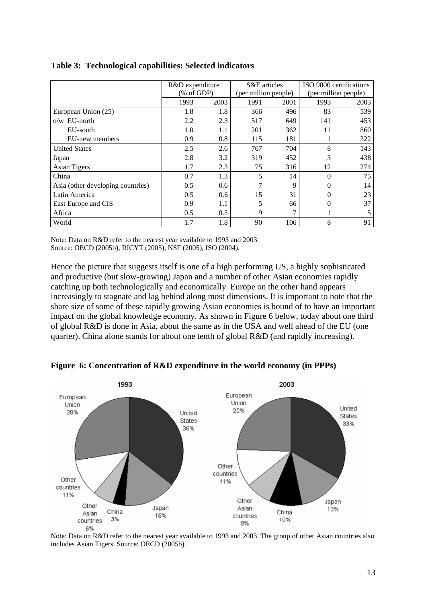|                                   | R&D expenditure " |      | S&E articles         |      | ISO 9000 certifications |      |
|-----------------------------------|-------------------|------|----------------------|------|-------------------------|------|
|                                   | % of GDP          |      | (per million people) |      | (per million people)    |      |
|                                   | 1993              | 2003 | 1991                 | 2001 | 1993                    | 2003 |
| European Union (25)               | 1.8               | 1.8  | 366                  | 496  | 83                      | 539  |
| $o/w$ EU-north                    | 2.2               | 2.3  | 517                  | 649  | 141                     | 453  |
| EU-south                          | 1.0               | 1.1  | 201                  | 362  | 11                      | 860  |
| EU-new members                    | 0.9               | 0.8  | 115                  | 181  |                         | 322  |
| <b>United States</b>              | 2.5               | 2.6  | 767                  | 704  | 8                       | 143  |
| Japan                             | 2.8               | 3.2  | 319                  | 452  | 3                       | 438  |
| <b>Asian Tigers</b>               | 1.7               | 2.3  | 75                   | 316  | 12                      | 274  |
| China                             | 0.7               | 1.3  | 5                    | 14   | $\theta$                | 75   |
| Asia (other developing countries) | 0.5               | 0.6  |                      | 9    | 0                       | 14   |
| Latin America                     | 0.5               | 0.6  | 15                   | 31   | $\Omega$                | 23   |
| East Europe and CIS               | 0.9               | 1.1  | 5                    | 66   | $\theta$                | 37   |
| Africa                            | 0.5               | 0.5  | 9                    | 7    |                         | 5    |
| World                             | 1.7               | 1.8  | 90                   | 106  | 8                       | 91   |

### **Table 3: Technological capabilities: Selected indicators**

Note: Data on R&D refer to the nearest year available to 1993 and 2003. Source: OECD (2005b), RICYT (2005), NSF (2005), ISO (2004).

Hence the picture that suggests itself is one of a high performing US, a highly sophisticated and productive (but slow-growing) Japan and a number of other Asian economies rapidly catching up both technologically and economically. Europe on the other hand appears increasingly to stagnate and lag behind along most dimensions. It is important to note that the share size of some of these rapidly growing Asian economies is bound of to have an important impact on the global knowledge economy. As shown in Figure 6 below, today about one third of global R&D is done in Asia, about the same as in the USA and well ahead of the EU (one quarter). China alone stands for about one tenth of global R&D (and rapidly increasing).



**Figure 6: Concentration of R&D expenditure in the world economy (in PPPs)** 

Note: Data on R&D refer to the nearest year available to 1993 and 2003. The group of other Asian countries also includes Asian Tigers. Source: OECD (2005b).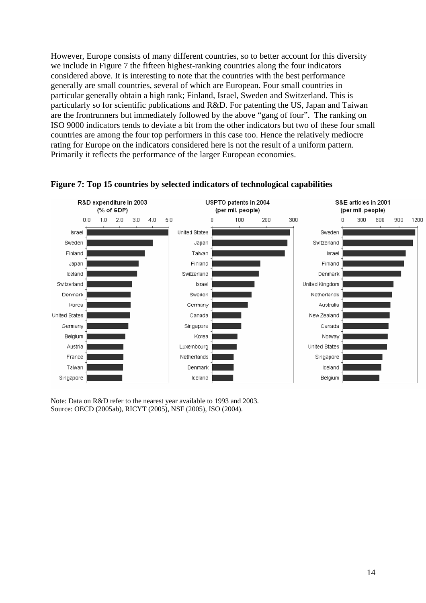However, Europe consists of many different countries, so to better account for this diversity we include in Figure 7 the fifteen highest-ranking countries along the four indicators considered above. It is interesting to note that the countries with the best performance generally are small countries, several of which are European. Four small countries in particular generally obtain a high rank; Finland, Israel, Sweden and Switzerland. This is particularly so for scientific publications and R&D. For patenting the US, Japan and Taiwan are the frontrunners but immediately followed by the above "gang of four". The ranking on ISO 9000 indicators tends to deviate a bit from the other indicators but two of these four small countries are among the four top performers in this case too. Hence the relatively mediocre rating for Europe on the indicators considered here is not the result of a uniform pattern. Primarily it reflects the performance of the larger European economies.



### **Figure 7: Top 15 countries by selected indicators of technological capabilities**

Note: Data on R&D refer to the nearest year available to 1993 and 2003. Source: OECD (2005ab), RICYT (2005), NSF (2005), ISO (2004).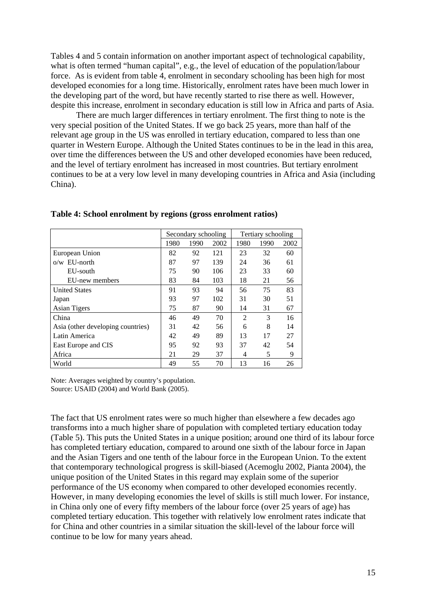Tables 4 and 5 contain information on another important aspect of technological capability, what is often termed "human capital", e.g., the level of education of the population/labour force. As is evident from table 4, enrolment in secondary schooling has been high for most developed economies for a long time. Historically, enrolment rates have been much lower in the developing part of the word, but have recently started to rise there as well. However, despite this increase, enrolment in secondary education is still low in Africa and parts of Asia.

There are much larger differences in tertiary enrolment. The first thing to note is the very special position of the United States. If we go back 25 years, more than half of the relevant age group in the US was enrolled in tertiary education, compared to less than one quarter in Western Europe. Although the United States continues to be in the lead in this area, over time the differences between the US and other developed economies have been reduced, and the level of tertiary enrolment has increased in most countries. But tertiary enrolment continues to be at a very low level in many developing countries in Africa and Asia (including China).

|                                   | Secondary schooling |      |      | Tertiary schooling |      |      |
|-----------------------------------|---------------------|------|------|--------------------|------|------|
|                                   | 1980                | 1990 | 2002 | 1980               | 1990 | 2002 |
| European Union                    | 82                  | 92   | 121  | 23                 | 32   | 60   |
| $o/w$ EU-north                    | 87                  | 97   | 139  | 24                 | 36   | 61   |
| EU-south                          | 75                  | 90   | 106  | 23                 | 33   | 60   |
| EU-new members                    | 83                  | 84   | 103  | 18                 | 21   | 56   |
| <b>United States</b>              | 91                  | 93   | 94   | 56                 | 75   | 83   |
| Japan                             | 93                  | 97   | 102  | 31                 | 30   | 51   |
| Asian Tigers                      | 75                  | 87   | 90   | 14                 | 31   | 67   |
| China                             | 46                  | 49   | 70   | $\overline{2}$     | 3    | 16   |
| Asia (other developing countries) | 31                  | 42   | 56   | 6                  | 8    | 14   |
| Latin America                     | 42                  | 49   | 89   | 13                 | 17   | 27   |
| East Europe and CIS               | 95                  | 92   | 93   | 37                 | 42   | 54   |
| Africa                            | 21                  | 29   | 37   | 4                  | 5    | 9    |
| World                             | 49                  | 55   | 70   | 13                 | 16   | 26   |

**Table 4: School enrolment by regions (gross enrolment ratios)** 

Note: Averages weighted by country's population. Source: USAID (2004) and World Bank (2005).

The fact that US enrolment rates were so much higher than elsewhere a few decades ago transforms into a much higher share of population with completed tertiary education today (Table 5). This puts the United States in a unique position; around one third of its labour force has completed tertiary education, compared to around one sixth of the labour force in Japan and the Asian Tigers and one tenth of the labour force in the European Union. To the extent that contemporary technological progress is skill-biased (Acemoglu 2002, Pianta 2004), the unique position of the United States in this regard may explain some of the superior performance of the US economy when compared to other developed economies recently. However, in many developing economies the level of skills is still much lower. For instance, in China only one of every fifty members of the labour force (over 25 years of age) has completed tertiary education. This together with relatively low enrolment rates indicate that for China and other countries in a similar situation the skill-level of the labour force will continue to be low for many years ahead.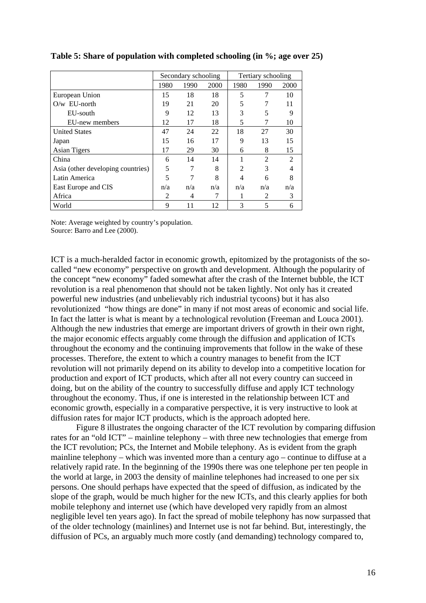|                                   | Secondary schooling |      |      | Tertiary schooling |                |                |
|-----------------------------------|---------------------|------|------|--------------------|----------------|----------------|
|                                   | 1980                | 1990 | 2000 | 1980               | 1990           | 2000           |
| European Union                    | 15                  | 18   | 18   | 5                  | 7              | 10             |
| $O/w$ EU-north                    | 19                  | 21   | 20   | 5                  |                | 11             |
| EU-south                          | 9                   | 12   | 13   | 3                  | 5              | 9              |
| EU-new members                    | 12                  | 17   | 18   | 5                  |                | 10             |
| <b>United States</b>              | 47                  | 24   | 22   | 18                 | 27             | 30             |
| Japan                             | 15                  | 16   | 17   | 9                  | 13             | 15             |
| <b>Asian Tigers</b>               | 17                  | 29   | 30   | 6                  | 8              | 15             |
| China                             | 6                   | 14   | 14   |                    | $\overline{c}$ | $\mathfrak{D}$ |
| Asia (other developing countries) | 5                   |      | 8    | $\mathfrak{D}$     | 3              |                |
| Latin America                     | 5                   | 7    | 8    | 4                  | 6              | 8              |
| East Europe and CIS               | n/a                 | n/a  | n/a  | n/a                | n/a            | n/a            |
| Africa                            | 2                   | 4    | 7    |                    | 2              | 3              |
| World                             | 9                   | 11   | 12   | 3                  | 5              | 6              |

**Table 5: Share of population with completed schooling (in %; age over 25)** 

Note: Average weighted by country's population. Source: Barro and Lee (2000).

ICT is a much-heralded factor in economic growth, epitomized by the protagonists of the socalled "new economy" perspective on growth and development. Although the popularity of the concept "new economy" faded somewhat after the crash of the Internet bubble, the ICT revolution is a real phenomenon that should not be taken lightly. Not only has it created powerful new industries (and unbelievably rich industrial tycoons) but it has also revolutionized "how things are done" in many if not most areas of economic and social life. In fact the latter is what is meant by a technological revolution (Freeman and Louca 2001). Although the new industries that emerge are important drivers of growth in their own right, the major economic effects arguably come through the diffusion and application of ICTs throughout the economy and the continuing improvements that follow in the wake of these processes. Therefore, the extent to which a country manages to benefit from the ICT revolution will not primarily depend on its ability to develop into a competitive location for production and export of ICT products, which after all not every country can succeed in doing, but on the ability of the country to successfully diffuse and apply ICT technology throughout the economy. Thus, if one is interested in the relationship between ICT and economic growth, especially in a comparative perspective, it is very instructive to look at diffusion rates for major ICT products, which is the approach adopted here.

 Figure 8 illustrates the ongoing character of the ICT revolution by comparing diffusion rates for an "old ICT" – mainline telephony – with three new technologies that emerge from the ICT revolution; PCs, the Internet and Mobile telephony. As is evident from the graph mainline telephony – which was invented more than a century ago – continue to diffuse at a relatively rapid rate. In the beginning of the 1990s there was one telephone per ten people in the world at large, in 2003 the density of mainline telephones had increased to one per six persons. One should perhaps have expected that the speed of diffusion, as indicated by the slope of the graph, would be much higher for the new ICTs, and this clearly applies for both mobile telephony and internet use (which have developed very rapidly from an almost negligible level ten years ago). In fact the spread of mobile telephony has now surpassed that of the older technology (mainlines) and Internet use is not far behind. But, interestingly, the diffusion of PCs, an arguably much more costly (and demanding) technology compared to,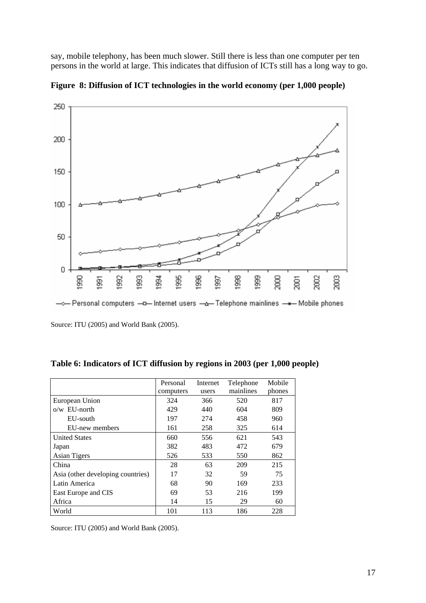say, mobile telephony, has been much slower. Still there is less than one computer per ten persons in the world at large. This indicates that diffusion of ICTs still has a long way to go.



**Figure 8: Diffusion of ICT technologies in the world economy (per 1,000 people)** 

Source: ITU (2005) and World Bank (2005).

|                                   | Personal  | Internet | Telephone | Mobile |
|-----------------------------------|-----------|----------|-----------|--------|
|                                   | computers | users    | mainlines | phones |
| European Union                    | 324       | 366      | 520       | 817    |
| $o/w$ EU-north                    | 429       | 440      | 604       | 809    |
| EU-south                          | 197       | 274      | 458       | 960    |
| EU-new members                    | 161       | 258      | 325       | 614    |
| <b>United States</b>              | 660       | 556      | 621       | 543    |
| Japan                             | 382       | 483      | 472       | 679    |
| <b>Asian Tigers</b>               | 526       | 533      | 550       | 862    |
| China                             | 28        | 63       | 209       | 215    |
| Asia (other developing countries) | 17        | 32       | 59        | 75     |
| Latin America                     | 68        | 90       | 169       | 233    |
| East Europe and CIS               | 69        | 53       | 216       | 199    |
| Africa                            | 14        | 15       | 29        | 60     |
| World                             | 101       | 113      | 186       | 228    |

**Table 6: Indicators of ICT diffusion by regions in 2003 (per 1,000 people)** 

Source: ITU (2005) and World Bank (2005).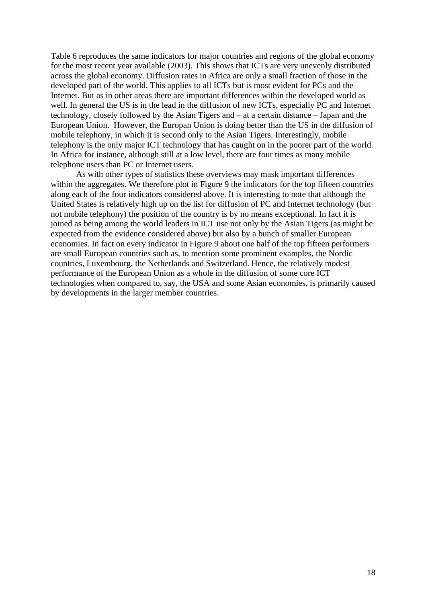Table 6 reproduces the same indicators for major countries and regions of the global economy for the most recent year available (2003). This shows that ICTs are very unevenly distributed across the global economy. Diffusion rates in Africa are only a small fraction of those in the developed part of the world. This applies to all ICTs but is most evident for PCs and the Internet. But as in other areas there are important differences within the developed world as well. In general the US is in the lead in the diffusion of new ICTs, especially PC and Internet technology, closely followed by the Asian Tigers and – at a certain distance – Japan and the European Union. However, the Europan Union is doing better than the US in the diffusion of mobile telephony, in which it is second only to the Asian Tigers. Interestingly, mobile telephony is the only major ICT technology that has caught on in the poorer part of the world. In Africa for instance, although still at a low level, there are four times as many mobile telephone users than PC or Internet users.

 As with other types of statistics these overviews may mask important differences within the aggregates. We therefore plot in Figure 9 the indicators for the top fifteen countries along each of the four indicators considered above. It is interesting to note that although the United States is relatively high up on the list for diffusion of PC and Internet technology (but not mobile telephony) the position of the country is by no means exceptional. In fact it is joined as being among the world leaders in ICT use not only by the Asian Tigers (as might be expected from the evidence considered above) but also by a bunch of smaller European economies. In fact on every indicator in Figure 9 about one half of the top fifteen performers are small European countries such as, to mention some prominent examples, the Nordic countries, Luxembourg, the Netherlands and Switzerland. Hence, the relatively modest performance of the European Union as a whole in the diffusion of some core ICT technologies when compared to, say, the USA and some Asian economies, is primarily caused by developments in the larger member countries.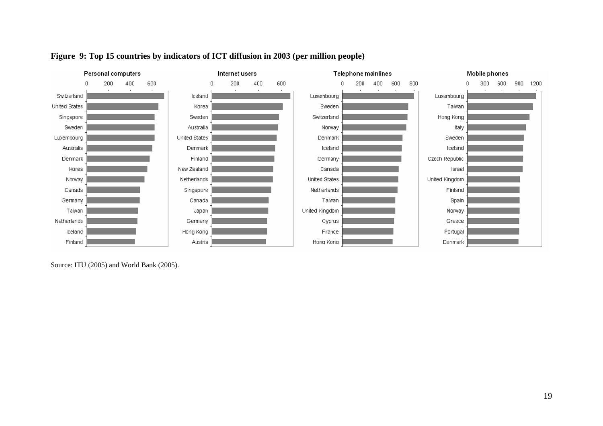

# **Figure 9: Top 15 countries by indicators of ICT diffusion in 2003 (per million people)**

Source: ITU (2005) and World Bank (2005).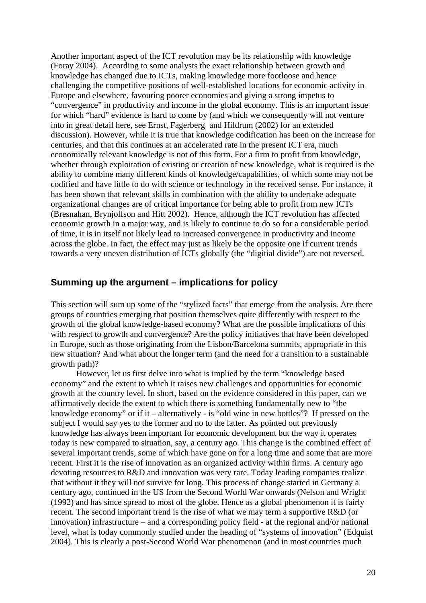Another important aspect of the ICT revolution may be its relationship with knowledge (Foray 2004). According to some analysts the exact relationship between growth and knowledge has changed due to ICTs, making knowledge more footloose and hence challenging the competitive positions of well-established locations for economic activity in Europe and elsewhere, favouring poorer economies and giving a strong impetus to "convergence" in productivity and income in the global economy. This is an important issue for which "hard" evidence is hard to come by (and which we consequently will not venture into in great detail here, see Ernst, Fagerberg and Hildrum (2002) for an extended discussion). However, while it is true that knowledge codification has been on the increase for centuries, and that this continues at an accelerated rate in the present ICT era, much economically relevant knowledge is not of this form. For a firm to profit from knowledge, whether through exploitation of existing or creation of new knowledge, what is required is the ability to combine many different kinds of knowledge/capabilities, of which some may not be codified and have little to do with science or technology in the received sense. For instance, it has been shown that relevant skills in combination with the ability to undertake adequate organizational changes are of critical importance for being able to profit from new ICTs (Bresnahan, Brynjolfson and Hitt 2002). Hence, although the ICT revolution has affected economic growth in a major way, and is likely to continue to do so for a considerable period of time, it is in itself not likely lead to increased convergence in productivity and income across the globe. In fact, the effect may just as likely be the opposite one if current trends towards a very uneven distribution of ICTs globally (the "digitial divide") are not reversed.

### **Summing up the argument – implications for policy**

This section will sum up some of the "stylized facts" that emerge from the analysis. Are there groups of countries emerging that position themselves quite differently with respect to the growth of the global knowledge-based economy? What are the possible implications of this with respect to growth and convergence? Are the policy initiatives that have been developed in Europe, such as those originating from the Lisbon/Barcelona summits, appropriate in this new situation? And what about the longer term (and the need for a transition to a sustainable growth path)?

 However, let us first delve into what is implied by the term "knowledge based economy" and the extent to which it raises new challenges and opportunities for economic growth at the country level. In short, based on the evidence considered in this paper, can we affirmatively decide the extent to which there is something fundamentally new to "the knowledge economy" or if it – alternatively - is "old wine in new bottles"? If pressed on the subject I would say yes to the former and no to the latter. As pointed out previously knowledge has always been important for economic development but the way it operates today is new compared to situation, say, a century ago. This change is the combined effect of several important trends, some of which have gone on for a long time and some that are more recent. First it is the rise of innovation as an organized activity within firms. A century ago devoting resources to R&D and innovation was very rare. Today leading companies realize that without it they will not survive for long. This process of change started in Germany a century ago, continued in the US from the Second World War onwards (Nelson and Wright (1992) and has since spread to most of the globe. Hence as a global phenomenon it is fairly recent. The second important trend is the rise of what we may term a supportive R&D (or innovation) infrastructure – and a corresponding policy field - at the regional and/or national level, what is today commonly studied under the heading of "systems of innovation" (Edquist 2004). This is clearly a post-Second World War phenomenon (and in most countries much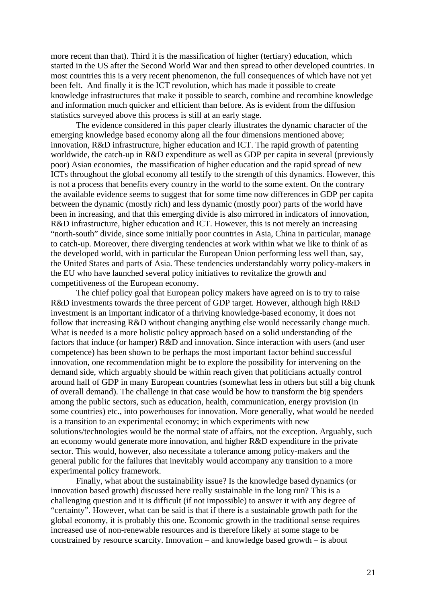more recent than that). Third it is the massification of higher (tertiary) education, which started in the US after the Second World War and then spread to other developed countries. In most countries this is a very recent phenomenon, the full consequences of which have not yet been felt. And finally it is the ICT revolution, which has made it possible to create knowledge infrastructures that make it possible to search, combine and recombine knowledge and information much quicker and efficient than before. As is evident from the diffusion statistics surveyed above this process is still at an early stage.

 The evidence considered in this paper clearly illustrates the dynamic character of the emerging knowledge based economy along all the four dimensions mentioned above; innovation, R&D infrastructure, higher education and ICT. The rapid growth of patenting worldwide, the catch-up in R&D expenditure as well as GDP per capita in several (previously poor) Asian economies, the massification of higher education and the rapid spread of new ICTs throughout the global economy all testify to the strength of this dynamics. However, this is not a process that benefits every country in the world to the some extent. On the contrary the available evidence seems to suggest that for some time now differences in GDP per capita between the dynamic (mostly rich) and less dynamic (mostly poor) parts of the world have been in increasing, and that this emerging divide is also mirrored in indicators of innovation, R&D infrastructure, higher education and ICT. However, this is not merely an increasing "north-south" divide, since some initially poor countries in Asia, China in particular, manage to catch-up. Moreover, there diverging tendencies at work within what we like to think of as the developed world, with in particular the European Union performing less well than, say, the United States and parts of Asia. These tendencies understandably worry policy-makers in the EU who have launched several policy initiatives to revitalize the growth and competitiveness of the European economy.

 The chief policy goal that European policy makers have agreed on is to try to raise R&D investments towards the three percent of GDP target. However, although high R&D investment is an important indicator of a thriving knowledge-based economy, it does not follow that increasing R&D without changing anything else would necessarily change much. What is needed is a more holistic policy approach based on a solid understanding of the factors that induce (or hamper) R&D and innovation. Since interaction with users (and user competence) has been shown to be perhaps the most important factor behind successful innovation, one recommendation might be to explore the possibility for intervening on the demand side, which arguably should be within reach given that politicians actually control around half of GDP in many European countries (somewhat less in others but still a big chunk of overall demand). The challenge in that case would be how to transform the big spenders among the public sectors, such as education, health, communication, energy provision (in some countries) etc., into powerhouses for innovation. More generally, what would be needed is a transition to an experimental economy; in which experiments with new solutions/technologies would be the normal state of affairs, not the exception. Arguably, such an economy would generate more innovation, and higher R&D expenditure in the private sector. This would, however, also necessitate a tolerance among policy-makers and the general public for the failures that inevitably would accompany any transition to a more experimental policy framework.

 Finally, what about the sustainability issue? Is the knowledge based dynamics (or innovation based growth) discussed here really sustainable in the long run? This is a challenging question and it is difficult (if not impossible) to answer it with any degree of "certainty". However, what can be said is that if there is a sustainable growth path for the global economy, it is probably this one. Economic growth in the traditional sense requires increased use of non-renewable resources and is therefore likely at some stage to be constrained by resource scarcity. Innovation – and knowledge based growth – is about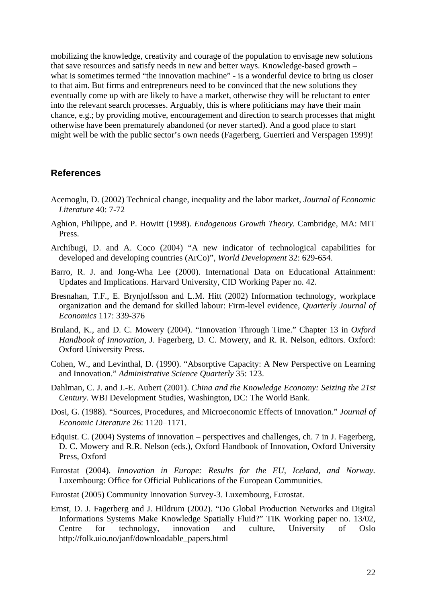mobilizing the knowledge, creativity and courage of the population to envisage new solutions that save resources and satisfy needs in new and better ways. Knowledge-based growth – what is sometimes termed "the innovation machine" - is a wonderful device to bring us closer to that aim. But firms and entrepreneurs need to be convinced that the new solutions they eventually come up with are likely to have a market, otherwise they will be reluctant to enter into the relevant search processes. Arguably, this is where politicians may have their main chance, e.g.; by providing motive, encouragement and direction to search processes that might otherwise have been prematurely abandoned (or never started). And a good place to start might well be with the public sector's own needs (Fagerberg, Guerrieri and Verspagen 1999)!

### **References**

- Acemoglu, D. (2002) Technical change, inequality and the labor market, *Journal of Economic Literature* 40: 7-72
- Aghion, Philippe, and P. Howitt (1998). *Endogenous Growth Theory.* Cambridge, MA: MIT Press.
- Archibugi, D. and A. Coco (2004) "A new indicator of technological capabilities for developed and developing countries (ArCo)", *World Development* 32: 629-654.
- Barro, R. J. and Jong-Wha Lee (2000). International Data on Educational Attainment: Updates and Implications. Harvard University, CID Working Paper no. 42.
- Bresnahan, T.F., E. Brynjolfsson and L.M. Hitt (2002) Information technology, workplace organization and the demand for skilled labour: Firm-level evidence, *Quarterly Journal of Economics* 117: 339-376
- Bruland, K., and D. C. Mowery (2004). "Innovation Through Time." Chapter 13 in *Oxford Handbook of Innovation,* J. Fagerberg, D. C. Mowery, and R. R. Nelson, editors. Oxford: Oxford University Press.
- Cohen, W., and Levinthal, D. (1990). "Absorptive Capacity: A New Perspective on Learning and Innovation." *Administrative Science Quarterly* 35: 123.
- Dahlman, C. J. and J.-E. Aubert (2001). *China and the Knowledge Economy: Seizing the 21st Century.* WBI Development Studies, Washington, DC: The World Bank.
- Dosi, G. (1988). "Sources, Procedures, and Microeconomic Effects of Innovation." *Journal of Economic Literature* 26: 1120−1171.
- Edquist. C. (2004) Systems of innovation perspectives and challenges, ch. 7 in J. Fagerberg, D. C. Mowery and R.R. Nelson (eds.), Oxford Handbook of Innovation, Oxford University Press, Oxford
- Eurostat (2004). *Innovation in Europe: Results for the EU, Iceland, and Norway.*  Luxembourg: Office for Official Publications of the European Communities.
- Eurostat (2005) Community Innovation Survey-3. Luxembourg, Eurostat.
- Ernst, D. J. Fagerberg and J. Hildrum (2002). "Do Global Production Networks and Digital Informations Systems Make Knowledge Spatially Fluid?" TIK Working paper no. 13/02, Centre for technology, innovation and culture, University of Oslo http://folk.uio.no/janf/downloadable\_papers.html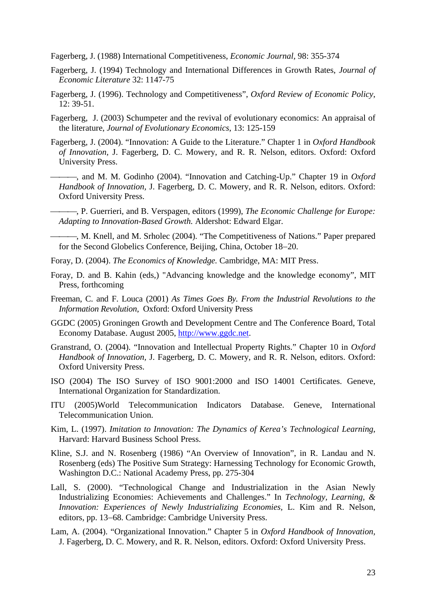Fagerberg, J. (1988) International Competitiveness, *Economic Journal,* 98: 355-374

- Fagerberg, J. (1994) Technology and International Differences in Growth Rates, *Journal of Economic Literature* 32: 1147-75
- Fagerberg, J. (1996). Technology and Competitiveness", *Oxford Review of Economic Policy*, 12: 39-51.
- Fagerberg, J. (2003) Schumpeter and the revival of evolutionary economics: An appraisal of the literature, *Journal of Evolutionary Economics*, 13: 125-159
- Fagerberg, J. (2004). "Innovation: A Guide to the Literature." Chapter 1 in *Oxford Handbook of Innovation,* J. Fagerberg, D. C. Mowery, and R. R. Nelson, editors. Oxford: Oxford University Press.
	- -, and M. M. Godinho (2004). "Innovation and Catching-Up." Chapter 19 in *Oxford Handbook of Innovation,* J. Fagerberg, D. C. Mowery, and R. R. Nelson, editors. Oxford: Oxford University Press.
	- ⎯⎯⎯, P. Guerrieri, and B. Verspagen, editors (1999), *The Economic Challenge for Europe: Adapting to Innovation-Based Growth.* Aldershot: Edward Elgar.

 $-, M$ . Knell, and M. Srholec (2004). "The Competitiveness of Nations." Paper prepared for the Second Globelics Conference, Beijing, China, October 18−20.

- Foray, D. (2004). *The Economics of Knowledge.* Cambridge, MA: MIT Press.
- Foray, D. and B. Kahin (eds,) "Advancing knowledge and the knowledge economy", MIT Press, forthcoming
- Freeman, C. and F. Louca (2001) *As Times Goes By. From the Industrial Revolutions to the Information Revolution*, Oxford: Oxford University Press
- GGDC (2005) Groningen Growth and Development Centre and The Conference Board, Total Economy Database. August 2005, http://www.ggdc.net.
- Granstrand, O. (2004). "Innovation and Intellectual Property Rights." Chapter 10 in *Oxford Handbook of Innovation,* J. Fagerberg, D. C. Mowery, and R. R. Nelson, editors. Oxford: Oxford University Press.
- ISO (2004) The ISO Survey of ISO 9001:2000 and ISO 14001 Certificates. Geneve, International Organization for Standardization.
- ITU (2005)World Telecommunication Indicators Database. Geneve, International Telecommunication Union.
- Kim, L. (1997). *Imitation to Innovation: The Dynamics of Kerea's Technological Learning*, Harvard: Harvard Business School Press.
- Kline, S.J. and N. Rosenberg (1986) "An Overview of Innovation", in R. Landau and N. Rosenberg (eds) The Positive Sum Strategy: Harnessing Technology for Economic Growth, Washington D.C.: National Academy Press, pp. 275-304
- Lall, S. (2000). "Technological Change and Industrialization in the Asian Newly Industrializing Economies: Achievements and Challenges." In *Technology, Learning, & Innovation: Experiences of Newly Industrializing Economies,* L. Kim and R. Nelson, editors, pp. 13−68. Cambridge: Cambridge University Press.
- Lam, A. (2004). "Organizational Innovation." Chapter 5 in *Oxford Handbook of Innovation,* J. Fagerberg, D. C. Mowery, and R. R. Nelson, editors. Oxford: Oxford University Press.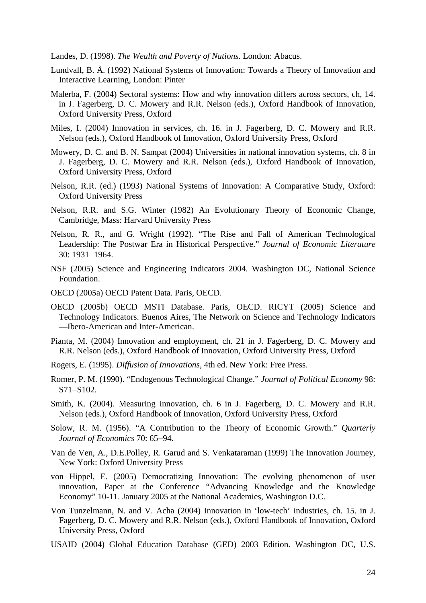Landes, D. (1998). *The Wealth and Poverty of Nations.* London: Abacus.

- Lundvall, B. Å. (1992) National Systems of Innovation: Towards a Theory of Innovation and Interactive Learning, London: Pinter
- Malerba, F. (2004) Sectoral systems: How and why innovation differs across sectors, ch, 14. in J. Fagerberg, D. C. Mowery and R.R. Nelson (eds.), Oxford Handbook of Innovation, Oxford University Press, Oxford
- Miles, I. (2004) Innovation in services, ch. 16. in J. Fagerberg, D. C. Mowery and R.R. Nelson (eds.), Oxford Handbook of Innovation, Oxford University Press, Oxford
- Mowery, D. C. and B. N. Sampat (2004) Universities in national innovation systems, ch. 8 in J. Fagerberg, D. C. Mowery and R.R. Nelson (eds.), Oxford Handbook of Innovation, Oxford University Press, Oxford
- Nelson, R.R. (ed.) (1993) National Systems of Innovation: A Comparative Study, Oxford: Oxford University Press
- Nelson, R.R. and S.G. Winter (1982) An Evolutionary Theory of Economic Change, Cambridge, Mass: Harvard University Press
- Nelson, R. R., and G. Wright (1992). "The Rise and Fall of American Technological Leadership: The Postwar Era in Historical Perspective." *Journal of Economic Literature*  30: 1931−1964.
- NSF (2005) Science and Engineering Indicators 2004. Washington DC, National Science Foundation.
- OECD (2005a) OECD Patent Data. Paris, OECD.
- OECD (2005b) OECD MSTI Database. Paris, OECD. RICYT (2005) Science and Technology Indicators. Buenos Aires, The Network on Science and Technology Indicators —Ibero-American and Inter-American.
- Pianta, M. (2004) Innovation and employment, ch. 21 in J. Fagerberg, D. C. Mowery and R.R. Nelson (eds.), Oxford Handbook of Innovation, Oxford University Press, Oxford
- Rogers, E. (1995). *Diffusion of Innovations,* 4th ed. New York: Free Press.
- Romer, P. M. (1990). "Endogenous Technological Change." *Journal of Political Economy* 98: S71−S102.
- Smith, K. (2004). Measuring innovation, ch. 6 in J. Fagerberg, D. C. Mowery and R.R. Nelson (eds.), Oxford Handbook of Innovation, Oxford University Press, Oxford
- Solow, R. M. (1956). "A Contribution to the Theory of Economic Growth." *Quarterly Journal of Economics* 70: 65−94.
- Van de Ven, A., D.E.Polley, R. Garud and S. Venkataraman (1999) The Innovation Journey, New York: Oxford University Press
- von Hippel, E. (2005) Democratizing Innovation: The evolving phenomenon of user innovation, Paper at the Conference "Advancing Knowledge and the Knowledge Economy" 10-11. January 2005 at the National Academies, Washington D.C.
- Von Tunzelmann, N. and V. Acha (2004) Innovation in 'low-tech' industries, ch. 15. in J. Fagerberg, D. C. Mowery and R.R. Nelson (eds.), Oxford Handbook of Innovation, Oxford University Press, Oxford
- USAID (2004) Global Education Database (GED) 2003 Edition. Washington DC, U.S.